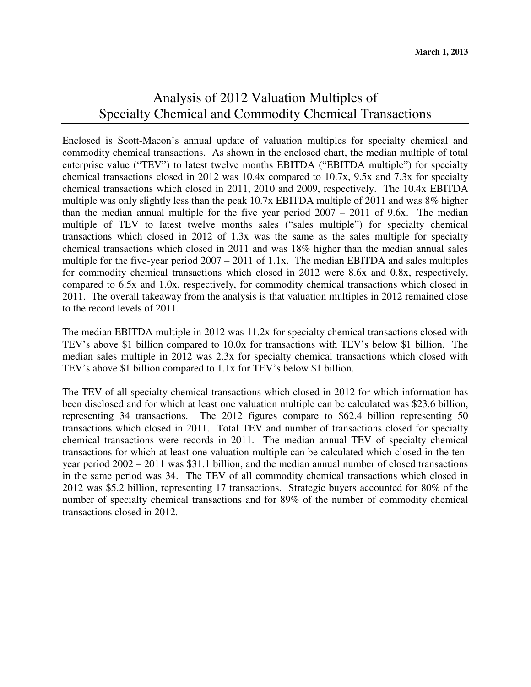## Analysis of 2012 Valuation Multiples of Specialty Chemical and Commodity Chemical Transactions

Enclosed is Scott-Macon's annual update of valuation multiples for specialty chemical and commodity chemical transactions. As shown in the enclosed chart, the median multiple of total enterprise value ("TEV") to latest twelve months EBITDA ("EBITDA multiple") for specialty chemical transactions closed in 2012 was 10.4x compared to 10.7x, 9.5x and 7.3x for specialty chemical transactions which closed in 2011, 2010 and 2009, respectively. The 10.4x EBITDA multiple was only slightly less than the peak 10.7x EBITDA multiple of 2011 and was 8% higher than the median annual multiple for the five year period 2007 – 2011 of 9.6x. The median multiple of TEV to latest twelve months sales ("sales multiple") for specialty chemical transactions which closed in 2012 of 1.3x was the same as the sales multiple for specialty chemical transactions which closed in 2011 and was 18% higher than the median annual sales multiple for the five-year period 2007 – 2011 of 1.1x. The median EBITDA and sales multiples for commodity chemical transactions which closed in 2012 were 8.6x and 0.8x, respectively, compared to 6.5x and 1.0x, respectively, for commodity chemical transactions which closed in 2011. The overall takeaway from the analysis is that valuation multiples in 2012 remained close to the record levels of 2011.

The median EBITDA multiple in 2012 was 11.2x for specialty chemical transactions closed with TEV's above \$1 billion compared to 10.0x for transactions with TEV's below \$1 billion. The median sales multiple in 2012 was 2.3x for specialty chemical transactions which closed with TEV's above \$1 billion compared to 1.1x for TEV's below \$1 billion.

The TEV of all specialty chemical transactions which closed in 2012 for which information has been disclosed and for which at least one valuation multiple can be calculated was \$23.6 billion, representing 34 transactions. The 2012 figures compare to \$62.4 billion representing 50 transactions which closed in 2011. Total TEV and number of transactions closed for specialty chemical transactions were records in 2011. The median annual TEV of specialty chemical transactions for which at least one valuation multiple can be calculated which closed in the tenyear period 2002 – 2011 was \$31.1 billion, and the median annual number of closed transactions in the same period was 34. The TEV of all commodity chemical transactions which closed in 2012 was \$5.2 billion, representing 17 transactions. Strategic buyers accounted for 80% of the number of specialty chemical transactions and for 89% of the number of commodity chemical transactions closed in 2012.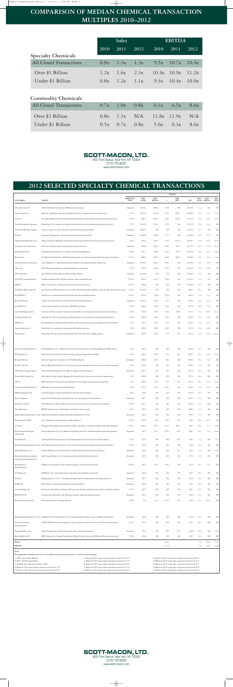## **COMPARISON OF MEDIAN CHEMICAL TRANSACTION MULTIPLES 2010–2012**

|                                | <b>Sales</b> |      |                                             | <b>EBITDA</b> |              |       |
|--------------------------------|--------------|------|---------------------------------------------|---------------|--------------|-------|
|                                | 2010         | 2011 | 2012                                        | 2010          | 2011         | 2012  |
| <b>Specialty Chemicals</b>     |              |      |                                             |               |              |       |
| <b>All Closed Transactions</b> |              |      | $0.8x$ $1.3x$ $1.3x$ $9.5x$ $10.7x$ $10.4x$ |               |              |       |
| Over \$1 Billion               |              |      | 1.2x $1.6x$ 2.3x $10.4x$ 10.9x 11.2x        |               |              |       |
| Under \$1 Billion              | 0.8x         |      | $1.2x$ $1.1x$                               |               | $9.3x$ 10.4x | 10.0x |

## **Commodity Chemicals**

| <b>All Closed Transactions</b> |  | $0.7x$ $1.0x$ $0.8x$ $6.1x$ $6.5x$ $8.6x$ |  |
|--------------------------------|--|-------------------------------------------|--|
| Over \$1 Billion               |  | $0.8x$ $1.3x$ $N/A$ $11.8x$ $11.9x$ $N/A$ |  |
| Under \$1 Billion              |  | $0.5x$ $0.7x$ $0.8x$ $5.6x$ $6.3x$ $8.6x$ |  |